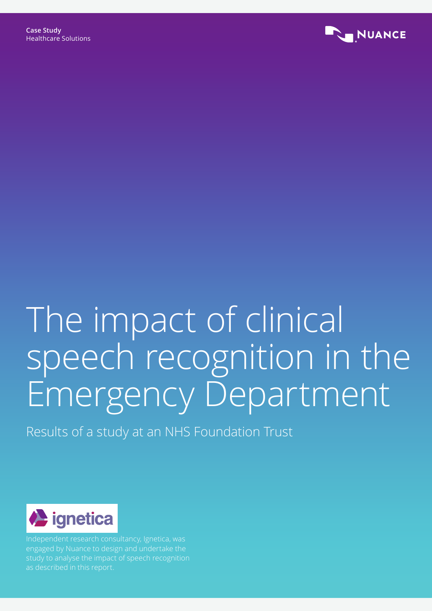

# The impact of clinical speech recognition in the Emergency Department

Results of a study at an NHS Foundation Trust



Independent research consultancy, Ignetica, was engaged by Nuance to design and undertake the study to analyse the impact of speech recognition as described in this report.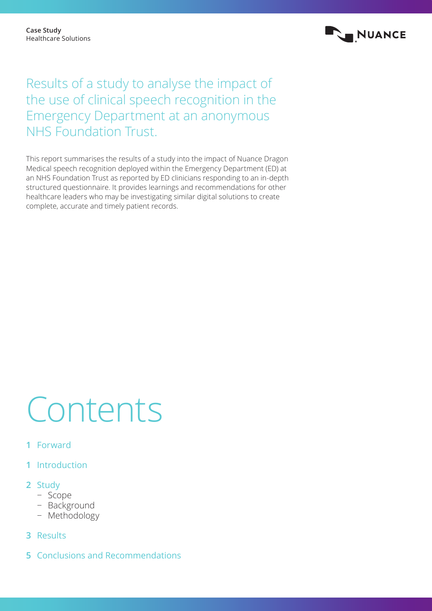

# Results of a study to analyse the impact of the use of clinical speech recognition in the Emergency Department at an anonymous NHS Foundation Trust.

This report summarises the results of a study into the impact of Nuance Dragon Medical speech recognition deployed within the Emergency Department (ED) at an NHS Foundation Trust as reported by ED clinicians responding to an in-depth structured questionnaire. It provides learnings and recommendations for other healthcare leaders who may be investigating similar digital solutions to create complete, accurate and timely patient records.

# Contents

- **1** Forward
- **1** Introduction
- **2** Study
	- − Scope
	- − Background
	- − Methodology
- **3** Results
- **5** Conclusions and Recommendations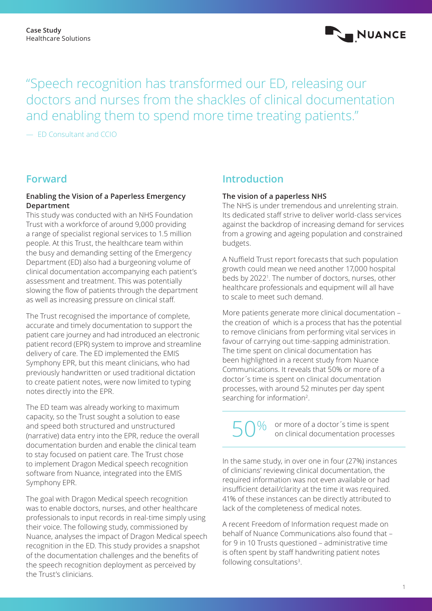

"Speech recognition has transformed our ED, releasing our doctors and nurses from the shackles of clinical documentation and enabling them to spend more time treating patients."

— ED Consultant and CCIO

### **Forward**

#### **Enabling the Vision of a Paperless Emergency Department**

This study was conducted with an NHS Foundation Trust with a workforce of around 9,000 providing a range of specialist regional services to 1.5 million people. At this Trust, the healthcare team within the busy and demanding setting of the Emergency Department (ED) also had a burgeoning volume of clinical documentation accompanying each patient's assessment and treatment. This was potentially slowing the flow of patients through the department as well as increasing pressure on clinical staff.

The Trust recognised the importance of complete, accurate and timely documentation to support the patient care journey and had introduced an electronic patient record (EPR) system to improve and streamline delivery of care. The ED implemented the EMIS Symphony EPR, but this meant clinicians, who had previously handwritten or used traditional dictation to create patient notes, were now limited to typing notes directly into the EPR.

The ED team was already working to maximum capacity, so the Trust sought a solution to ease and speed both structured and unstructured (narrative) data entry into the EPR, reduce the overall documentation burden and enable the clinical team to stay focused on patient care. The Trust chose to implement Dragon Medical speech recognition software from Nuance, integrated into the EMIS Symphony EPR.

The goal with Dragon Medical speech recognition was to enable doctors, nurses, and other healthcare professionals to input records in real-time simply using their voice. The following study, commissioned by Nuance, analyses the impact of Dragon Medical speech recognition in the ED. This study provides a snapshot of the documentation challenges and the benefits of the speech recognition deployment as perceived by the Trust's clinicians.

### **Introduction**

#### **The vision of a paperless NHS**

The NHS is under tremendous and unrelenting strain. Its dedicated staff strive to deliver world-class services against the backdrop of increasing demand for services from a growing and ageing population and constrained budgets.

A Nuffield Trust report forecasts that such population growth could mean we need another 17,000 hospital beds by 20221 . The number of doctors, nurses, other healthcare professionals and equipment will all have to scale to meet such demand.

More patients generate more clinical documentation – the creation of which is a process that has the potential to remove clinicians from performing vital services in favour of carrying out time-sapping administration. The time spent on clinical documentation has been highlighted in a recent study from Nuance Communications. It reveals that 50% or more of a doctor´s time is spent on clinical documentation processes, with around 52 minutes per day spent searching for information2.

or more of a doctor's time is spent<br>on clinical documentation processes %

In the same study, in over one in four (27%) instances of clinicians' reviewing clinical documentation, the required information was not even available or had insufficient detail/clarity at the time it was required. 41% of these instances can be directly attributed to lack of the completeness of medical notes.

A recent Freedom of Information request made on behalf of Nuance Communications also found that – for 9 in 10 Trusts questioned – administrative time is often spent by staff handwriting patient notes following consultations3.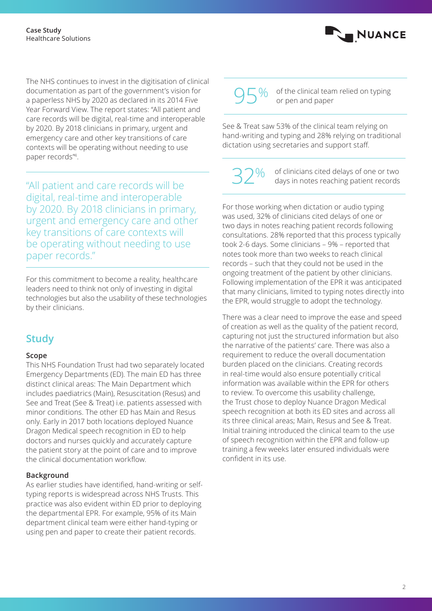

"All patient and care records will be digital, real-time and interoperable by 2020. By 2018 clinicians in primary, urgent and emergency care and other key transitions of care contexts will be operating without needing to use paper records."

For this commitment to become a reality, healthcare leaders need to think not only of investing in digital technologies but also the usability of these technologies by their clinicians.

## **Study**

#### **Scope**

This NHS Foundation Trust had two separately located Emergency Departments (ED). The main ED has three distinct clinical areas: The Main Department which includes paediatrics (Main), Resuscitation (Resus) and See and Treat (See & Treat) i.e. patients assessed with minor conditions. The other ED has Main and Resus only. Early in 2017 both locations deployed Nuance Dragon Medical speech recognition in ED to help doctors and nurses quickly and accurately capture the patient story at the point of care and to improve the clinical documentation workflow.

#### **Background**

As earlier studies have identified, hand-writing or selftyping reports is widespread across NHS Trusts. This practice was also evident within ED prior to deploying the departmental EPR. For example, 95% of its Main department clinical team were either hand-typing or using pen and paper to create their patient records.

# %

of the clinical team relied on typing<br>or pen and paper

NUANCE

See & Treat saw 53% of the clinical team relying on hand-writing and typing and 28% relying on traditional dictation using secretaries and support staff.

%

of clinicians cited delays of one or two<br>days in notes reaching patient records

For those working when dictation or audio typing was used, 32% of clinicians cited delays of one or two days in notes reaching patient records following consultations. 28% reported that this process typically took 2-6 days. Some clinicians – 9% – reported that notes took more than two weeks to reach clinical records – such that they could not be used in the ongoing treatment of the patient by other clinicians. Following implementation of the EPR it was anticipated that many clinicians, limited to typing notes directly into the EPR, would struggle to adopt the technology.

There was a clear need to improve the ease and speed of creation as well as the quality of the patient record, capturing not just the structured information but also the narrative of the patients' care. There was also a requirement to reduce the overall documentation burden placed on the clinicians. Creating records in real-time would also ensure potentially critical information was available within the EPR for others to review. To overcome this usability challenge, the Trust chose to deploy Nuance Dragon Medical speech recognition at both its ED sites and across all its three clinical areas; Main, Resus and See & Treat. Initial training introduced the clinical team to the use of speech recognition within the EPR and follow-up training a few weeks later ensured individuals were confident in its use.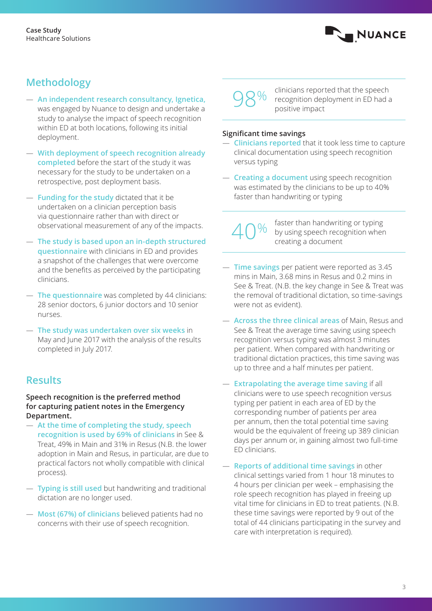

# **Methodology**

- **An independent research consultancy, Ignetica,** was engaged by Nuance to design and undertake a study to analyse the impact of speech recognition within ED at both locations, following its initial deployment.
- **With deployment of speech recognition already completed** before the start of the study it was necessary for the study to be undertaken on a retrospective, post deployment basis.
- **Funding for the study** dictated that it be undertaken on a clinician perception basis via questionnaire rather than with direct or observational measurement of any of the impacts.
- **The study is based upon an in-depth structured questionnaire** with clinicians in ED and provides a snapshot of the challenges that were overcome and the benefits as perceived by the participating clinicians.
- **The questionnaire** was completed by 44 clinicians: 28 senior doctors, 6 junior doctors and 10 senior nurses.
- **The study was undertaken over six weeks** in May and June 2017 with the analysis of the results completed in July 2017.

## **Results**

**Speech recognition is the preferred method for capturing patient notes in the Emergency Department.**

- **At the time of completing the study, speech recognition is used by 69% of clinicians** in See & Treat, 49% in Main and 31% in Resus (N.B. the lower adoption in Main and Resus, in particular, are due to practical factors not wholly compatible with clinical process).
- **Typing is still used** but handwriting and traditional dictation are no longer used.
- **Most (67%) of clinicians** believed patients had no concerns with their use of speech recognition.



clinicians reported that the speech recognition deployment in ED had a<br>positive impact

#### **Significant time savings**

- **Clinicians reported** that it took less time to capture clinical documentation using speech recognition versus typing
- **Creating a document** using speech recognition was estimated by the clinicians to be up to 40% faster than handwriting or typing

%

faster than handwriting or typing by using speech recognition when<br>creating a document

- **Time savings** per patient were reported as 3.45 mins in Main, 3.68 mins in Resus and 0.2 mins in See & Treat. (N.B. the key change in See & Treat was the removal of traditional dictation, so time-savings were not as evident).
- **Across the three clinical areas** of Main, Resus and See & Treat the average time saving using speech recognition versus typing was almost 3 minutes per patient. When compared with handwriting or traditional dictation practices, this time saving was up to three and a half minutes per patient.
- **Extrapolating the average time saving** if all clinicians were to use speech recognition versus typing per patient in each area of ED by the corresponding number of patients per area per annum, then the total potential time saving would be the equivalent of freeing up 389 clinician days per annum or, in gaining almost two full-time ED clinicians.
- **Reports of additional time savings** in other clinical settings varied from 1 hour 18 minutes to 4 hours per clinician per week – emphasising the role speech recognition has played in freeing up vital time for clinicians in ED to treat patients. (N.B. these time savings were reported by 9 out of the total of 44 clinicians participating in the survey and care with interpretation is required).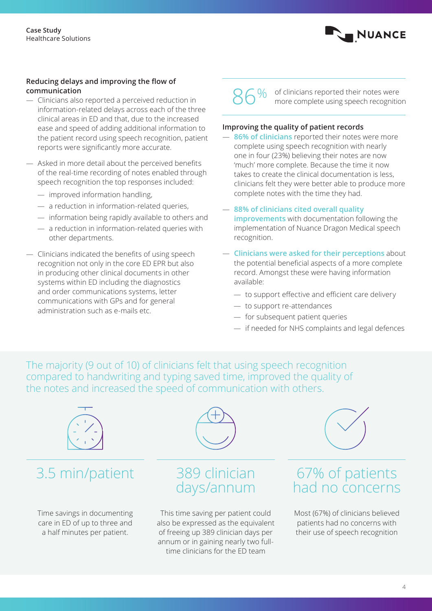

#### **Reducing delays and improving the flow of communication**

- Clinicians also reported a perceived reduction in information-related delays across each of the three clinical areas in ED and that, due to the increased ease and speed of adding additional information to the patient record using speech recognition, patient reports were significantly more accurate.
- Asked in more detail about the perceived benefits of the real-time recording of notes enabled through speech recognition the top responses included:
	- improved information handling,
	- a reduction in information-related queries,
	- information being rapidly available to others and
	- a reduction in information-related queries with other departments.
- Clinicians indicated the benefits of using speech recognition not only in the core ED EPR but also in producing other clinical documents in other systems within ED including the diagnostics and order communications systems, letter communications with GPs and for general administration such as e-mails etc.



of clinicians reported their notes were<br>more complete using speech recognition

#### **Improving the quality of patient records**

- **86% of clinicians** reported their notes were more complete using speech recognition with nearly one in four (23%) believing their notes are now 'much' more complete. Because the time it now takes to create the clinical documentation is less, clinicians felt they were better able to produce more complete notes with the time they had.
- **88% of clinicians cited overall quality improvements** with documentation following the implementation of Nuance Dragon Medical speech recognition.
- **Clinicians were asked for their perceptions** about the potential beneficial aspects of a more complete record. Amongst these were having information available:
	- to support effective and efficient care delivery
	- to support re-attendances
	- for subsequent patient queries
	- if needed for NHS complaints and legal defences

The majority (9 out of 10) of clinicians felt that using speech recognition compared to handwriting and typing saved time, improved the quality of the notes and increased the speed of communication with others.



time clinicians for the ED team

67% of patients had no concerns

Most (67%) of clinicians believed patients had no concerns with their use of speech recognition